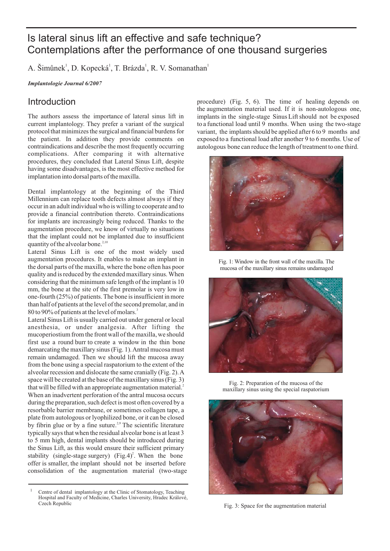# Is lateral sinus lift an effective and safe technique? Contemplations after the performance of one thousand surgeries

A. Šimůnek<sup>1</sup>, D. Kopecká<sup>1</sup>, T. Brázda<sup>1</sup>, R. V. Somanathan<sup>1</sup>

*Implantologie Journal 6/2007*

#### Introduction

The authors assess the importance of lateral sinus lift in current implantology. They prefer a variant of the surgical protocol that minimizes the surgical and financial burdens for the patient. In addition they provide comments on contraindications and describe the most frequently occurring complications. After comparing it with alternative procedures, they concluded that Lateral Sinus Lift, despite having some disadvantages, is the most effective method for implantation into dorsal parts of the maxilla.

Dental implantology at the beginning of the Third Millennium can replace tooth defects almost always if they occur in an adult individual who is willing to cooperate and to provide a financial contribution thereto. Contraindications for implants are increasingly being reduced. Thanks to the augmentation procedure, we know of virtually no situations that the implant could not be implanted due to insufficient quantity of the alveolar bone.<sup>2,10</sup>

Lateral Sinus Lift is one of the most widely used augmentation procedures. It enables to make an implant in the dorsal parts of the maxilla, where the bone often has poor quality and is reduced by the extended maxillary sinus.When considering that the minimum safe length of the implant is 10 mm, the bone at the site of the first premolar is very low in one-fourth (25%) of patients. The bone is insufficient in more than half of patients at the level of the second premolar, and in 80 to 90% of patients at the level of molars.<sup>3</sup>

Lateral Sinus Lift is usually carried out under general or local anesthesia, or under analgesia. After lifting the mucoperiostium from the front wall of the maxilla, we should first use a round burr to create a window in the thin bone demarcating the maxillary sinus (Fig. 1).Antral mucosa must remain undamaged. Then we should lift the mucosa away from the bone using a special raspatorium to the extent of the alveolar recession and dislocate the same cranially (Fig. 2).A space will be created at the base of the maxillary sinus (Fig. 3) that will be filled with an appropriate augmentation material.<sup>2</sup> When an inadvertent perforation of the antral mucosa occurs during the preparation, such defect is most often covered by a resorbable barrier membrane, or sometimes collagen tape, a plate from autologous or lyophilized bone, or it can be closed by fibrin glue or by a fine suture.<sup>2,9</sup> The scientific literature typically says that when the residual alveolar bone is at least 3 to 5 mm high, dental implants should be introduced during the Sinus Lift, as this would ensure their sufficient primary stability (single-stage surgery) (Fig.4)<sup>2</sup>. When the bone offer is smaller, the implant should not be inserted before consolidation of the augmentation material (two-stage

1 Centre of dental implantology at the Clinic of Stomatology, Teaching Hospital and Faculty of Medicine, Charles University, Hradec Králové, Czech Republic

procedure) (Fig. 5, 6). The time of healing depends on the augmentation material used. If it is non-autologous one, implants in the single-stage Sinus Lift should not be exposed to a functional load until 9 months. When using the two-stage variant, the implants should be applied after 6 to 9 months and exposed to a functional load after another 9 to 6 months. Use of autologous bone can reduce the length of treatment to one third.



Fig. 1: Window in the front wall of the maxilla. The mucosa of the maxillary sinus remains undamaged



Fig. 2: Preparation of the mucosa of the maxillary sinus using the special raspatorium



Fig. 3: Space for the augmentation material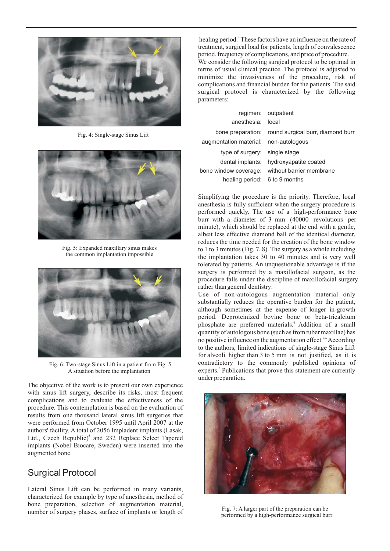

Fig. 4: Single-stage Sinus Lift



Fig. 5: Expanded maxillary sinus makes the common implantation impossible



Fig. 6: Two-stage Sinus Lift in a patient from Fig. 5. A situation before the implantation

The objective of the work is to present our own experience with sinus lift surgery, describe its risks, most frequent complications and to evaluate the effectiveness of the procedure. This contemplation is based on the evaluation of results from one thousand lateral sinus lift surgeries that were performed from October 1995 until April 2007 at the authors' facility. A total of 2056 Impladent implants (Lasak, Ltd., Czech Republic)<sup>5</sup> and 232 Replace Select Tapered implants (Nobel Biocare, Sweden) were inserted into the augmented bone.

# Surgical Protocol

Lateral Sinus Lift can be performed in many variants, characterized for example by type of anesthesia, method of bone preparation, selection of augmentation material, number of surgery phases, surface of implants or length of

healing period.<sup>2</sup> These factors have an influence on the rate of treatment, surgical load for patients, length of convalescence period, frequency of complications, and price of procedure. We consider the following surgical protocol to be optimal in terms of usual clinical practice. The protocol is adjusted to minimize the invasiveness of the procedure, risk of complications and financial burden for the patients. The said surgical protocol is characterized by the following parameters:

|                               | regimen: outpatient                            |
|-------------------------------|------------------------------------------------|
| anesthesia: local             |                                                |
| bone preparation:             | round surgical burr, diamond burr              |
| augmentation material:        | non-autologous                                 |
| type of surgery:              | single stage                                   |
| dental implants:              | hydroxyapatite coated                          |
|                               | bone window coverage: without barrier membrane |
| healing period: 6 to 9 months |                                                |

Simplifying the procedure is the priority. Therefore, local anesthesia is fully sufficient when the surgery procedure is performed quickly. The use of a high-performance bone burr with a diameter of 3 mm (40000 revolutions per minute), which should be replaced at the end with a gentle, albeit less effective diamond ball of the identical diameter, reduces the time needed for the creation of the bone window to 1 to 3 minutes (Fig. 7, 8). The surgery as a whole including the implantation takes 30 to 40 minutes and is very well tolerated by patients. An unquestionable advantage is if the surgery is performed by a maxillofacial surgeon, as the procedure falls under the discipline of maxillofacial surgery rather than general dentistry.

Use of non-autologous augmentation material only substantially reduces the operative burden for the patient, although sometimes at the expense of longer in-growth period. Deproteinized bovine bone or beta-tricalcium phosphate are preferred materials.<sup>6</sup> Addition of a small quantity of autologous bone (such as from tuber maxillae) has no positive influence on the augmentation effect.<sup>4,6</sup> According to the authors, limited indications of single-stage Sinus Lift for alveoli higher than 3 to 5 mm is not justified, as it is contradictory to the commonly published opinions of experts.<sup>2</sup> Publications that prove this statement are currently under preparation.



Fig. 7: A larger part of the preparation can be performed by a high-performance surgical burr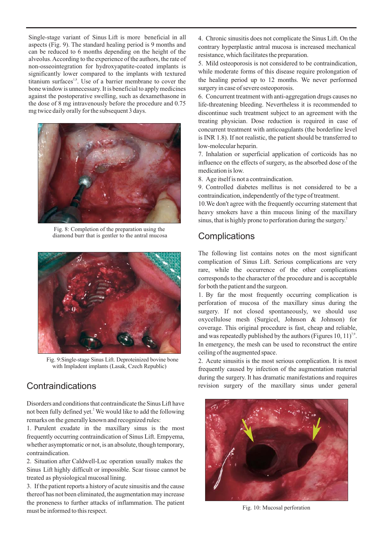Single-stage variant of Sinus Lift is more beneficial in all aspects (Fig. 9). The standard healing period is 9 months and can be reduced to 6 months depending on the height of the alveolus.According to the experience of the authors, the rate of non-osseointegration for hydroxyapatite-coated implants is significantly lower compared to the implants with textured titanium surfaces $1,8}$ . Use of a barrier membrane to cover the bone window is unnecessary. It is beneficial to apply medicines against the postoperative swelling, such as dexamethasone in the dose of 8 mg intravenously before the procedure and 0.75 mg twice daily orally for the subsequent 3 days.



Fig. 8: Completion of the preparation using the diamond burr that is gentler to the antral mucosa



Fig. 9:Single-stage Sinus Lift. Deproteinized bovine bone with Impladent implants (Lasak, Czech Republic)

## **Contraindications**

Disorders and conditions that contraindicate the Sinus Lift have not been fully defined yet.<sup>2</sup> We would like to add the following remarks on the generally known and recognized rules:

1. Purulent exudate in the maxillary sinus is the most frequently occurring contraindication of Sinus Lift. Empyema, whether asymptomatic or not, is an absolute, though temporary, contraindication.

2. Situation after Caldwell-Luc operation usually makes the Sinus Lift highly difficult or impossible. Scar tissue cannot be treated as physiological mucosal lining.

3. If the patient reports a history of acute sinusitis and the cause thereof has not been eliminated, the augmentation may increase the proneness to further attacks of inflammation. The patient must be informed to this respect.

4. Chronic sinusitis does not complicate the Sinus Lift. On the contrary hyperplastic antral mucosa is increased mechanical resistance, which facilitates the preparation.

5. Mild osteoporosis is not considered to be contraindication, while moderate forms of this disease require prolongation of the healing period up to 12 months. We never performed surgery in case of severe osteoporosis.

6. Concurrent treatment with anti-aggregation drugs causes no life-threatening bleeding. Nevertheless it is recommended to discontinue such treatment subject to an agreement with the treating physician. Dose reduction is required in case of concurrent treatment with anticoagulants (the borderline level is INR 1.8). If not realistic, the patient should be transferred to low-molecular heparin.

7. Inhalation or superficial application of corticoids has no influence on the effects of surgery, as the absorbed dose of the medication is low.

8. Age itself is not a contraindication.

9. Controlled diabetes mellitus is not considered to be a contraindication, independently of the type of treatment.

10.We don't agree with the frequently occurring statement that heavy smokers have a thin mucous lining of the maxillary sinus, that is highly prone to perforation during the surgery. 2

### **Complications**

The following list contains notes on the most significant complication of Sinus Lift. Serious complications are very rare, while the occurrence of the other complications corresponds to the character of the procedure and is acceptable for both the patient and the surgeon.

1. By far the most frequently occurring complication is perforation of mucosa of the maxillary sinus during the surgery. If not closed spontaneously, we should use oxycellulose mesh (Surgicel, Johnson & Johnson) for coverage. This original procedure is fast, cheap and reliable, and was repeatedly published by the authors (Figures 10, 11)<sup>7,9</sup>. In emergency, the mesh can be used to reconstruct the entire ceiling of the augmented space.

2. Acute sinusitis is the most serious complication. It is most frequently caused by infection of the augmentation material during the surgery. It has dramatic manifestations and requires revision surgery of the maxillary sinus under general



Fig. 10: Mucosal perforation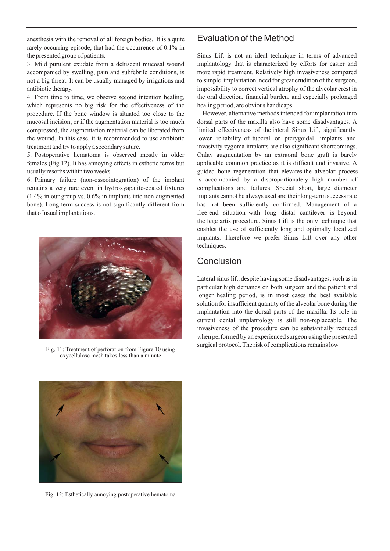anesthesia with the removal of all foreign bodies. It is a quite rarely occurring episode, that had the occurrence of 0.1% in the presented group of patients.

3. Mild purulent exudate from a dehiscent mucosal wound accompanied by swelling, pain and subfebrile conditions, is not a big threat. It can be usually managed by irrigations and antibiotic therapy.

4. From time to time, we observe second intention healing, which represents no big risk for the effectiveness of the procedure. If the bone window is situated too close to the mucosal incision, or if the augmentation material is too much compressed, the augmentation material can be liberated from the wound. In this case, it is recommended to use antibiotic treatment and try to apply a secondary suture.

5. Postoperative hematoma is observed mostly in older females (Fig 12). It has annoying effects in esthetic terms but usually resorbs within two weeks.

6. Primary failure (non-osseointegration) of the implant remains a very rare event in hydroxyapatite-coated fixtures (1.4% in our group vs. 0.6% in implants into non-augmented bone). Long-term success is not significantly different from that of usual implantations.



oxycellulose mesh takes less than a minute



Fig. 12: Esthetically annoying postoperative hematoma

### Evaluation of the Method

Sinus Lift is not an ideal technique in terms of advanced implantology that is characterized by efforts for easier and more rapid treatment. Relatively high invasiveness compared to simple implantation, need for great erudition of the surgeon, impossibility to correct vertical atrophy of the alveolar crest in the oral direction, financial burden, and especially prolonged healing period, are obvious handicaps.

However, alternative methods intended for implantation into dorsal parts of the maxilla also have some disadvantages. A limited effectiveness of the interal Sinus Lift, significantly lower reliability of tuberal or pterygoidal implants and invasivity zygoma implants are also significant shortcomings. Onlay augmentation by an extraoral bone graft is barely applicable common practice as it is difficult and invasive. A guided bone regeneration that elevates the alveolar process is accompanied by a disproportionately high number of complications and failures. Special short, large diameter implants cannot be always used and their long-term success rate has not been sufficiently confirmed. Management of a free-end situation with long distal cantilever is beyond the lege artis procedure. Sinus Lift is the only technique that enables the use of sufficiently long and optimally localized implants. Therefore we prefer Sinus Lift over any other techniques.

#### **Conclusion**

Lateral sinus lift, despite having some disadvantages, such as in particular high demands on both surgeon and the patient and longer healing period, is in most cases the best available solution for insufficient quantity of the alveolar bone during the implantation into the dorsal parts of the maxilla. Its role in current dental implantology is still non-replaceable. The invasiveness of the procedure can be substantially reduced when performed by an experienced surgeon using the presented surgical protocol. The risk of complications remains low. Fig. 11: Treatment of perforation from Figure 10 using